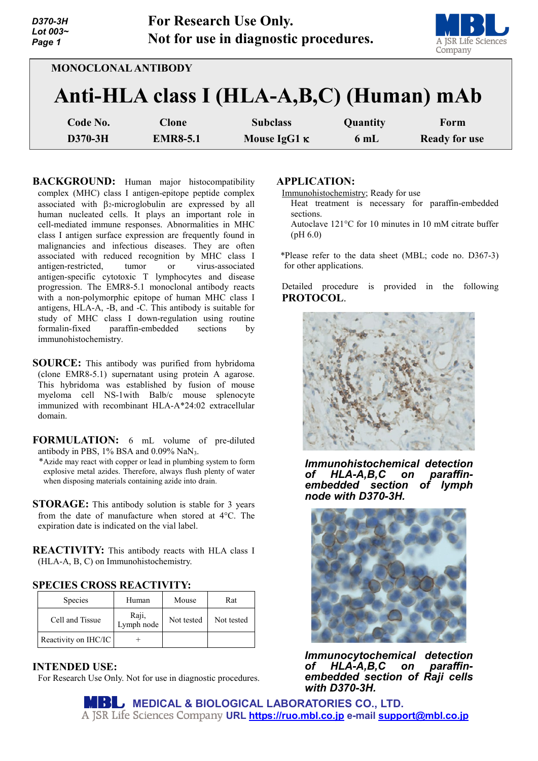| D370-3H<br>Lot 003~<br>Page 1 | <b>For Research Use Only.</b> | Not for use in diagnostic procedures.    |          | A JSR Life Sciences<br>Company |
|-------------------------------|-------------------------------|------------------------------------------|----------|--------------------------------|
| <b>MONOCLONAL ANTIBODY</b>    |                               |                                          |          |                                |
|                               |                               | Anti-HLA class I (HLA-A,B,C) (Human) mAb |          |                                |
| Code No.                      | <b>Clone</b>                  | <b>Subclass</b>                          | Quantity | Form                           |
| D370-3H                       | <b>EMR8-5.1</b>               | Mouse $IgG1$ $\kappa$                    | 6mL      | <b>Ready for use</b>           |

**BACKGROUND:** Human major histocompatibility complex (MHC) class I antigen-epitope peptide complex associated with β2-microglobulin are expressed by all human nucleated cells. It plays an important role in cell-mediated immune responses. Abnormalities in MHC class I antigen surface expression are frequently found in malignancies and infectious diseases. They are often associated with reduced recognition by MHC class I antigen-restricted, tumor or virus-associated antigen-specific cytotoxic T lymphocytes and disease progression. The EMR8-5.1 monoclonal antibody reacts with a non-polymorphic epitope of human MHC class I antigens, HLA-A, -B, and -C. This antibody is suitable for study of MHC class I down-regulation using routine formalin-fixed paraffin-embedded sections by immunohistochemistry.

**SOURCE:** This antibody was purified from hybridoma (clone EMR8-5.1) supernatant using protein A agarose. This hybridoma was established by fusion of mouse myeloma cell NS-1with Balb/c mouse splenocyte immunized with recombinant HLA-A\*24:02 extracellular domain.

**FORMULATION:** 6 mL volume of pre-diluted antibody in PBS, 1% BSA and 0.09% NaN3.

- \*Azide may react with copper or lead in plumbing system to form explosive metal azides. Therefore, always flush plenty of water when disposing materials containing azide into drain.
- **STORAGE:** This antibody solution is stable for 3 years from the date of manufacture when stored at 4°C. The expiration date is indicated on the vial label.
- **REACTIVITY:** This antibody reacts with HLA class I (HLA-A, B, C) on Immunohistochemistry.

### **SPECIES CROSS REACTIVITY:**

| <b>Species</b>       | Human               | Mouse      | Rat        |
|----------------------|---------------------|------------|------------|
| Cell and Tissue      | Raji,<br>Lymph node | Not tested | Not tested |
| Reactivity on IHC/IC |                     |            |            |

### **INTENDED USE:**

For Research Use Only. Not for use in diagnostic procedures.

## **APPLICATION:**

Immunohistochemistry; Ready for use

- Heat treatment is necessary for paraffin-embedded sections.
- Autoclave 121°C for 10 minutes in 10 mM citrate buffer (pH 6.0)

\*Please refer to the data sheet (MBL; code no. D367-3) for other applications.

Detailed procedure is provided in the following **PROTOCOL**.



*Immunohistochemical detection of HLA-A,B,C on paraffinembedded section of lymph node with D370-3H.*



*Immunocytochemical detection of HLA-A,B,C on paraffinembedded section of Raji cells with D370-3H.*

**MEDICAL & BIOLOGICAL LABORATORIES CO., LTD. URL [https://ruo.mbl.co.jp](https://ruo.mbl.co.jp/) e-mail [support@mbl.co.jp](mailto:support@mbl.co.jp)**